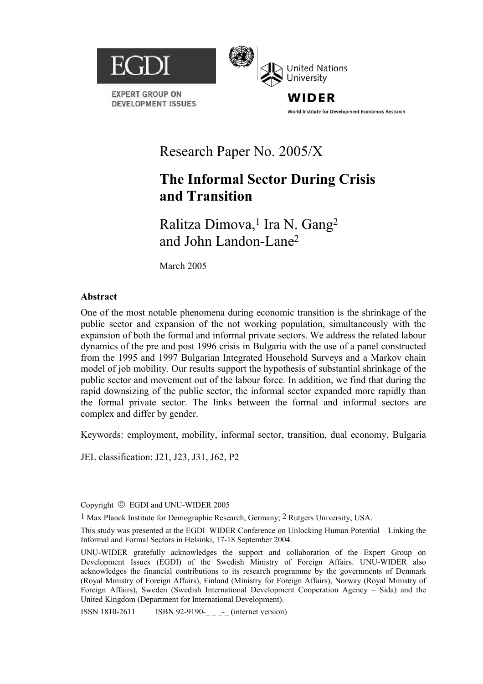

**EXPERT GROUP ON DEVELOPMENT ISSUES** 



WIDER World Institute for Development Economics Research

# Research Paper No. 2005/X

# **The Informal Sector During Crisis and Transition**

Ralitza Dimova,<sup>1</sup> Ira N. Gang<sup>2</sup> and John Landon-Lane2

March 2005

## **Abstract**

One of the most notable phenomena during economic transition is the shrinkage of the public sector and expansion of the not working population, simultaneously with the expansion of both the formal and informal private sectors. We address the related labour dynamics of the pre and post 1996 crisis in Bulgaria with the use of a panel constructed from the 1995 and 1997 Bulgarian Integrated Household Surveys and a Markov chain model of job mobility. Our results support the hypothesis of substantial shrinkage of the public sector and movement out of the labour force. In addition, we find that during the rapid downsizing of the public sector, the informal sector expanded more rapidly than the formal private sector. The links between the formal and informal sectors are complex and differ by gender.

Keywords: employment, mobility, informal sector, transition, dual economy, Bulgaria

JEL classification: J21, J23, J31, J62, P2

Copyright  $©$  EGDI and UNU-WIDER 2005

1 Max Planck Institute for Demographic Research, Germany; 2 Rutgers University, USA.

This study was presented at the EGDI–WIDER Conference on Unlocking Human Potential – Linking the Informal and Formal Sectors in Helsinki, 17-18 September 2004.

UNU-WIDER gratefully acknowledges the support and collaboration of the Expert Group on Development Issues (EGDI) of the Swedish Ministry of Foreign Affairs. UNU-WIDER also acknowledges the financial contributions to its research programme by the governments of Denmark (Royal Ministry of Foreign Affairs), Finland (Ministry for Foreign Affairs), Norway (Royal Ministry of Foreign Affairs), Sweden (Swedish International Development Cooperation Agency – Sida) and the United Kingdom (Department for International Development).

ISSN 1810-2611 ISBN 92-9190-\_\_\_\_\_ (internet version)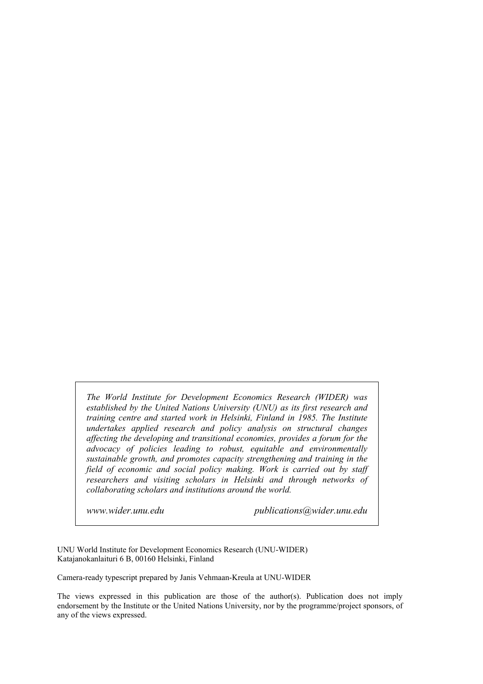*The World Institute for Development Economics Research (WIDER) was established by the United Nations University (UNU) as its first research and training centre and started work in Helsinki, Finland in 1985. The Institute undertakes applied research and policy analysis on structural changes affecting the developing and transitional economies, provides a forum for the advocacy of policies leading to robust, equitable and environmentally sustainable growth, and promotes capacity strengthening and training in the field of economic and social policy making. Work is carried out by staff researchers and visiting scholars in Helsinki and through networks of collaborating scholars and institutions around the world.* 

*www.wider.unu.edu publications@wider.unu.edu* 

UNU World Institute for Development Economics Research (UNU-WIDER) Katajanokanlaituri 6 B, 00160 Helsinki, Finland

Camera-ready typescript prepared by Janis Vehmaan-Kreula at UNU-WIDER

The views expressed in this publication are those of the author(s). Publication does not imply endorsement by the Institute or the United Nations University, nor by the programme/project sponsors, of any of the views expressed.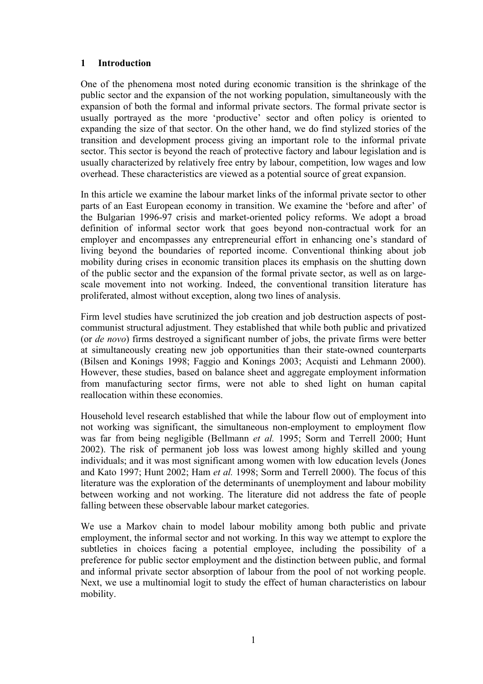## **1 Introduction**

One of the phenomena most noted during economic transition is the shrinkage of the public sector and the expansion of the not working population, simultaneously with the expansion of both the formal and informal private sectors. The formal private sector is usually portrayed as the more 'productive' sector and often policy is oriented to expanding the size of that sector. On the other hand, we do find stylized stories of the transition and development process giving an important role to the informal private sector. This sector is beyond the reach of protective factory and labour legislation and is usually characterized by relatively free entry by labour, competition, low wages and low overhead. These characteristics are viewed as a potential source of great expansion.

In this article we examine the labour market links of the informal private sector to other parts of an East European economy in transition. We examine the 'before and after' of the Bulgarian 1996-97 crisis and market-oriented policy reforms. We adopt a broad definition of informal sector work that goes beyond non-contractual work for an employer and encompasses any entrepreneurial effort in enhancing one's standard of living beyond the boundaries of reported income. Conventional thinking about job mobility during crises in economic transition places its emphasis on the shutting down of the public sector and the expansion of the formal private sector, as well as on largescale movement into not working. Indeed, the conventional transition literature has proliferated, almost without exception, along two lines of analysis.

Firm level studies have scrutinized the job creation and job destruction aspects of postcommunist structural adjustment. They established that while both public and privatized (or *de novo*) firms destroyed a significant number of jobs, the private firms were better at simultaneously creating new job opportunities than their state-owned counterparts (Bilsen and Konings 1998; Faggio and Konings 2003; Acquisti and Lehmann 2000). However, these studies, based on balance sheet and aggregate employment information from manufacturing sector firms, were not able to shed light on human capital reallocation within these economies.

Household level research established that while the labour flow out of employment into not working was significant, the simultaneous non-employment to employment flow was far from being negligible (Bellmann *et al.* 1995; Sorm and Terrell 2000; Hunt 2002). The risk of permanent job loss was lowest among highly skilled and young individuals; and it was most significant among women with low education levels (Jones and Kato 1997; Hunt 2002; Ham *et al.* 1998; Sorm and Terrell 2000). The focus of this literature was the exploration of the determinants of unemployment and labour mobility between working and not working. The literature did not address the fate of people falling between these observable labour market categories.

We use a Markov chain to model labour mobility among both public and private employment, the informal sector and not working. In this way we attempt to explore the subtleties in choices facing a potential employee, including the possibility of a preference for public sector employment and the distinction between public, and formal and informal private sector absorption of labour from the pool of not working people. Next, we use a multinomial logit to study the effect of human characteristics on labour mobility.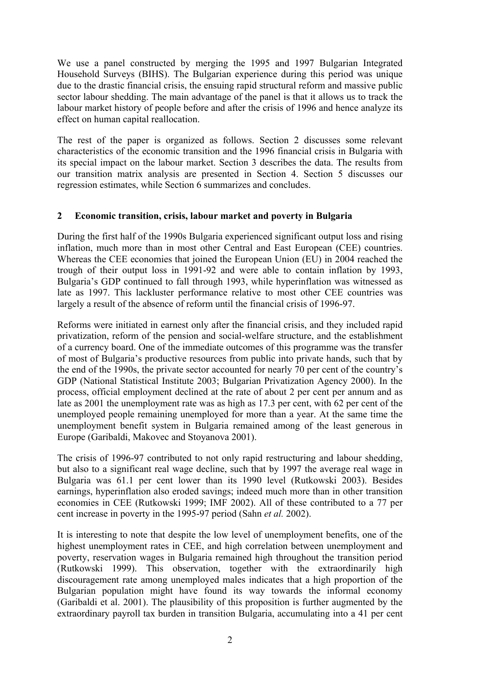We use a panel constructed by merging the 1995 and 1997 Bulgarian Integrated Household Surveys (BIHS). The Bulgarian experience during this period was unique due to the drastic financial crisis, the ensuing rapid structural reform and massive public sector labour shedding. The main advantage of the panel is that it allows us to track the labour market history of people before and after the crisis of 1996 and hence analyze its effect on human capital reallocation.

The rest of the paper is organized as follows. Section 2 discusses some relevant characteristics of the economic transition and the 1996 financial crisis in Bulgaria with its special impact on the labour market. Section 3 describes the data. The results from our transition matrix analysis are presented in Section 4. Section 5 discusses our regression estimates, while Section 6 summarizes and concludes.

## **2 Economic transition, crisis, labour market and poverty in Bulgaria**

During the first half of the 1990s Bulgaria experienced significant output loss and rising inflation, much more than in most other Central and East European (CEE) countries. Whereas the CEE economies that joined the European Union (EU) in 2004 reached the trough of their output loss in 1991-92 and were able to contain inflation by 1993, Bulgaria's GDP continued to fall through 1993, while hyperinflation was witnessed as late as 1997. This lackluster performance relative to most other CEE countries was largely a result of the absence of reform until the financial crisis of 1996-97.

Reforms were initiated in earnest only after the financial crisis, and they included rapid privatization, reform of the pension and social-welfare structure, and the establishment of a currency board. One of the immediate outcomes of this programme was the transfer of most of Bulgaria's productive resources from public into private hands, such that by the end of the 1990s, the private sector accounted for nearly 70 per cent of the country's GDP (National Statistical Institute 2003; Bulgarian Privatization Agency 2000). In the process, official employment declined at the rate of about 2 per cent per annum and as late as 2001 the unemployment rate was as high as 17.3 per cent, with 62 per cent of the unemployed people remaining unemployed for more than a year. At the same time the unemployment benefit system in Bulgaria remained among of the least generous in Europe (Garibaldi, Makovec and Stoyanova 2001).

The crisis of 1996-97 contributed to not only rapid restructuring and labour shedding, but also to a significant real wage decline, such that by 1997 the average real wage in Bulgaria was 61.1 per cent lower than its 1990 level (Rutkowski 2003). Besides earnings, hyperinflation also eroded savings; indeed much more than in other transition economies in CEE (Rutkowski 1999; IMF 2002). All of these contributed to a 77 per cent increase in poverty in the 1995-97 period (Sahn *et al.* 2002).

It is interesting to note that despite the low level of unemployment benefits, one of the highest unemployment rates in CEE, and high correlation between unemployment and poverty, reservation wages in Bulgaria remained high throughout the transition period (Rutkowski 1999). This observation, together with the extraordinarily high discouragement rate among unemployed males indicates that a high proportion of the Bulgarian population might have found its way towards the informal economy (Garibaldi et al. 2001). The plausibility of this proposition is further augmented by the extraordinary payroll tax burden in transition Bulgaria, accumulating into a 41 per cent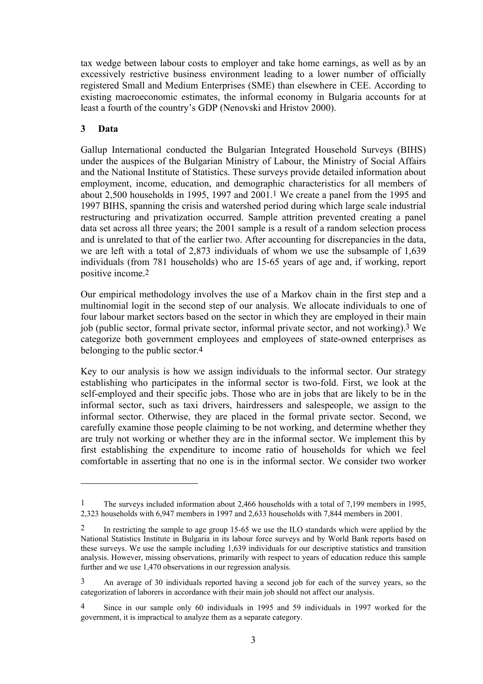tax wedge between labour costs to employer and take home earnings, as well as by an excessively restrictive business environment leading to a lower number of officially registered Small and Medium Enterprises (SME) than elsewhere in CEE. According to existing macroeconomic estimates, the informal economy in Bulgaria accounts for at least a fourth of the country's GDP (Nenovski and Hristov 2000).

# **3 Data**

 $\overline{a}$ 

Gallup International conducted the Bulgarian Integrated Household Surveys (BIHS) under the auspices of the Bulgarian Ministry of Labour, the Ministry of Social Affairs and the National Institute of Statistics. These surveys provide detailed information about employment, income, education, and demographic characteristics for all members of about 2,500 households in 1995, 1997 and 2001[.1](#page-4-0) We create a panel from the 1995 and 1997 BIHS, spanning the crisis and watershed period during which large scale industrial restructuring and privatization occurred. Sample attrition prevented creating a panel data set across all three years; the 2001 sample is a result of a random selection process and is unrelated to that of the earlier two. After accounting for discrepancies in the data, we are left with a total of 2,873 individuals of whom we use the subsample of 1,639 individuals (from 781 households) who are 15-65 years of age and, if working, report positive income[.2](#page-4-1) 

Our empirical methodology involves the use of a Markov chain in the first step and a multinomial logit in the second step of our analysis. We allocate individuals to one of four labour market sectors based on the sector in which they are employed in their main job (public sector, formal private sector, informal private sector, and not working).[3](#page-4-2) We categorize both government employees and employees of state-owned enterprises as belonging to the public sector[.4](#page-4-3) 

Key to our analysis is how we assign individuals to the informal sector. Our strategy establishing who participates in the informal sector is two-fold. First, we look at the self-employed and their specific jobs. Those who are in jobs that are likely to be in the informal sector, such as taxi drivers, hairdressers and salespeople, we assign to the informal sector. Otherwise, they are placed in the formal private sector. Second, we carefully examine those people claiming to be not working, and determine whether they are truly not working or whether they are in the informal sector. We implement this by first establishing the expenditure to income ratio of households for which we feel comfortable in asserting that no one is in the informal sector. We consider two worker

<span id="page-4-0"></span><sup>1</sup> The surveys included information about 2,466 households with a total of 7,199 members in 1995, 2,323 households with 6,947 members in 1997 and 2,633 households with 7,844 members in 2001.

<span id="page-4-1"></span><sup>2</sup> In restricting the sample to age group 15-65 we use the ILO standards which were applied by the National Statistics Institute in Bulgaria in its labour force surveys and by World Bank reports based on these surveys. We use the sample including 1,639 individuals for our descriptive statistics and transition analysis. However, missing observations, primarily with respect to years of education reduce this sample further and we use 1,470 observations in our regression analysis.

<span id="page-4-2"></span><sup>3</sup> An average of 30 individuals reported having a second job for each of the survey years, so the categorization of laborers in accordance with their main job should not affect our analysis.

<span id="page-4-3"></span><sup>4</sup> Since in our sample only 60 individuals in 1995 and 59 individuals in 1997 worked for the government, it is impractical to analyze them as a separate category.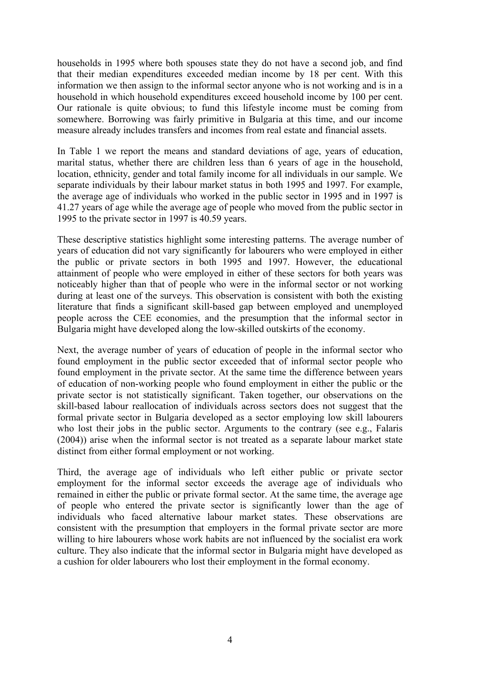households in 1995 where both spouses state they do not have a second job, and find that their median expenditures exceeded median income by 18 per cent. With this information we then assign to the informal sector anyone who is not working and is in a household in which household expenditures exceed household income by 100 per cent. Our rationale is quite obvious; to fund this lifestyle income must be coming from somewhere. Borrowing was fairly primitive in Bulgaria at this time, and our income measure already includes transfers and incomes from real estate and financial assets.

In Table 1 we report the means and standard deviations of age, years of education, marital status, whether there are children less than 6 years of age in the household, location, ethnicity, gender and total family income for all individuals in our sample. We separate individuals by their labour market status in both 1995 and 1997. For example, the average age of individuals who worked in the public sector in 1995 and in 1997 is 41.27 years of age while the average age of people who moved from the public sector in 1995 to the private sector in 1997 is 40.59 years.

These descriptive statistics highlight some interesting patterns. The average number of years of education did not vary significantly for labourers who were employed in either the public or private sectors in both 1995 and 1997. However, the educational attainment of people who were employed in either of these sectors for both years was noticeably higher than that of people who were in the informal sector or not working during at least one of the surveys. This observation is consistent with both the existing literature that finds a significant skill-based gap between employed and unemployed people across the CEE economies, and the presumption that the informal sector in Bulgaria might have developed along the low-skilled outskirts of the economy.

Next, the average number of years of education of people in the informal sector who found employment in the public sector exceeded that of informal sector people who found employment in the private sector. At the same time the difference between years of education of non-working people who found employment in either the public or the private sector is not statistically significant. Taken together, our observations on the skill-based labour reallocation of individuals across sectors does not suggest that the formal private sector in Bulgaria developed as a sector employing low skill labourers who lost their jobs in the public sector. Arguments to the contrary (see e.g., Falaris (2004)) arise when the informal sector is not treated as a separate labour market state distinct from either formal employment or not working.

Third, the average age of individuals who left either public or private sector employment for the informal sector exceeds the average age of individuals who remained in either the public or private formal sector. At the same time, the average age of people who entered the private sector is significantly lower than the age of individuals who faced alternative labour market states. These observations are consistent with the presumption that employers in the formal private sector are more willing to hire labourers whose work habits are not influenced by the socialist era work culture. They also indicate that the informal sector in Bulgaria might have developed as a cushion for older labourers who lost their employment in the formal economy.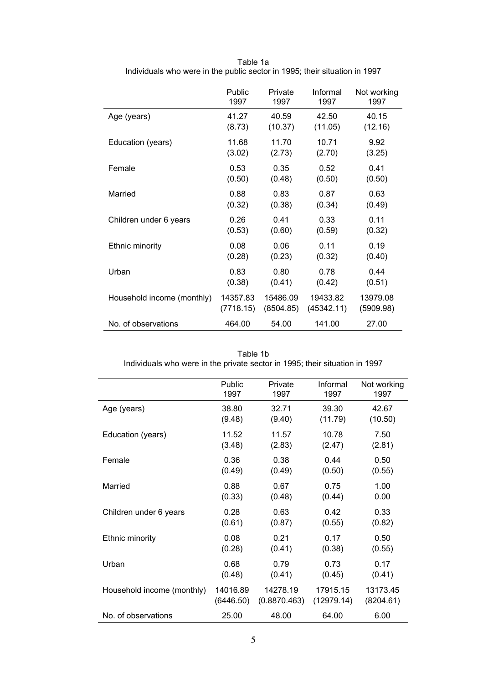|                            | Public    | Private   | Informal   | Not working |
|----------------------------|-----------|-----------|------------|-------------|
|                            | 1997      | 1997      | 1997       | 1997        |
| Age (years)                | 41.27     | 40.59     | 42.50      | 40.15       |
|                            | (8.73)    | (10.37)   | (11.05)    | (12.16)     |
| Education (years)          | 11.68     | 11.70     | 10.71      | 9.92        |
|                            | (3.02)    | (2.73)    | (2.70)     | (3.25)      |
| Female                     | 0.53      | 0.35      | 0.52       | 0.41        |
|                            | (0.50)    | (0.48)    | (0.50)     | (0.50)      |
| Married                    | 0.88      | 0.83      | 0.87       | 0.63        |
|                            | (0.32)    | (0.38)    | (0.34)     | (0.49)      |
| Children under 6 years     | 0.26      | 0.41      | 0.33       | 0.11        |
|                            | (0.53)    | (0.60)    | (0.59)     | (0.32)      |
| Ethnic minority            | 0.08      | 0.06      | 0.11       | 0.19        |
|                            | (0.28)    | (0.23)    | (0.32)     | (0.40)      |
| Urban                      | 0.83      | 0.80      | 0.78       | 0.44        |
|                            | (0.38)    | (0.41)    | (0.42)     | (0.51)      |
| Household income (monthly) | 14357.83  | 15486.09  | 19433.82   | 13979.08    |
|                            | (7718.15) | (8504.85) | (45342.11) | (5909.98)   |
| No. of observations        | 464.00    | 54.00     | 141.00     | 27.00       |

Table 1a Individuals who were in the public sector in 1995; their situation in 1997

| Table 1b                                                                    |  |
|-----------------------------------------------------------------------------|--|
| Individuals who were in the private sector in 1995; their situation in 1997 |  |

|                            | Public    | Private      | Informal   | Not working |
|----------------------------|-----------|--------------|------------|-------------|
|                            | 1997      | 1997         | 1997       | 1997        |
| Age (years)                | 38.80     | 32.71        | 39.30      | 42.67       |
|                            | (9.48)    | (9.40)       | (11.79)    | (10.50)     |
| Education (years)          | 11.52     | 11.57        | 10.78      | 7.50        |
|                            | (3.48)    | (2.83)       | (2.47)     | (2.81)      |
| Female                     | 0.36      | 0.38         | 0.44       | 0.50        |
|                            | (0.49)    | (0.49)       | (0.50)     | (0.55)      |
| Married                    | 0.88      | 0.67         | 0.75       | 1.00        |
|                            | (0.33)    | (0.48)       | (0.44)     | 0.00        |
| Children under 6 years     | 0.28      | 0.63         | 0.42       | 0.33        |
|                            | (0.61)    | (0.87)       | (0.55)     | (0.82)      |
| Ethnic minority            | 0.08      | 0.21         | 0.17       | 0.50        |
|                            | (0.28)    | (0.41)       | (0.38)     | (0.55)      |
| Urban                      | 0.68      | 0.79         | 0.73       | 0.17        |
|                            | (0.48)    | (0.41)       | (0.45)     | (0.41)      |
| Household income (monthly) | 14016.89  | 14278.19     | 17915.15   | 13173.45    |
|                            | (6446.50) | (0.8870.463) | (12979.14) | (8204.61)   |
| No. of observations        | 25.00     | 48.00        | 64.00      | 6.00        |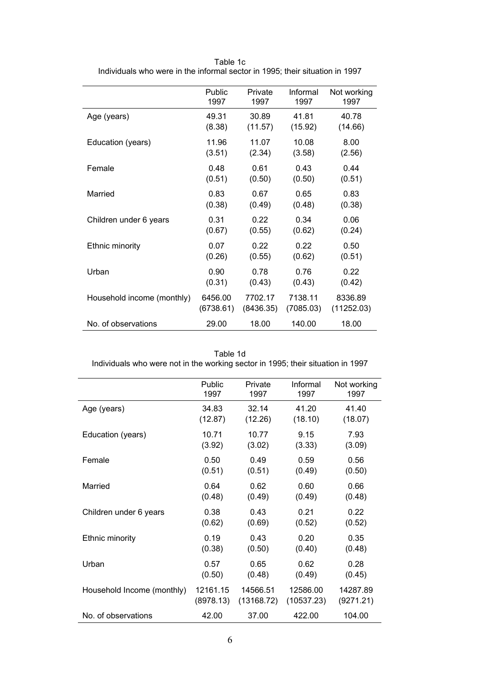|                            | Public    | Private   | Informal  | Not working |
|----------------------------|-----------|-----------|-----------|-------------|
|                            | 1997      | 1997      | 1997      | 1997        |
| Age (years)                | 49.31     | 30.89     | 41.81     | 40.78       |
|                            | (8.38)    | (11.57)   | (15.92)   | (14.66)     |
| Education (years)          | 11.96     | 11.07     | 10.08     | 8.00        |
|                            | (3.51)    | (2.34)    | (3.58)    | (2.56)      |
| Female                     | 0.48      | 0.61      | 0.43      | 0.44        |
|                            | (0.51)    | (0.50)    | (0.50)    | (0.51)      |
| Married                    | 0.83      | 0.67      | 0.65      | 0.83        |
|                            | (0.38)    | (0.49)    | (0.48)    | (0.38)      |
| Children under 6 years     | 0.31      | 0.22      | 0.34      | 0.06        |
|                            | (0.67)    | (0.55)    | (0.62)    | (0.24)      |
| Ethnic minority            | 0.07      | 0.22      | 0.22      | 0.50        |
|                            | (0.26)    | (0.55)    | (0.62)    | (0.51)      |
| Urban                      | 0.90      | 0.78      | 0.76      | 0.22        |
|                            | (0.31)    | (0.43)    | (0.43)    | (0.42)      |
| Household income (monthly) | 6456.00   | 7702.17   | 7138.11   | 8336.89     |
|                            | (6738.61) | (8436.35) | (7085.03) | (11252.03)  |
| No. of observations        | 29.00     | 18.00     | 140.00    | 18.00       |

Table 1c Individuals who were in the informal sector in 1995; their situation in 1997

Table 1d

Individuals who were not in the working sector in 1995; their situation in 1997

|                            | Public    | Private    | Informal   | Not working |
|----------------------------|-----------|------------|------------|-------------|
|                            | 1997      | 1997       | 1997       | 1997        |
| Age (years)                | 34.83     | 32.14      | 41.20      | 41.40       |
|                            | (12.87)   | (12.26)    | (18.10)    | (18.07)     |
| Education (years)          | 10.71     | 10.77      | 9.15       | 7.93        |
|                            | (3.92)    | (3.02)     | (3.33)     | (3.09)      |
| Female                     | 0.50      | 0.49       | 0.59       | 0.56        |
|                            | (0.51)    | (0.51)     | (0.49)     | (0.50)      |
| Married                    | 0.64      | 0.62       | 0.60       | 0.66        |
|                            | (0.48)    | (0.49)     | (0.49)     | (0.48)      |
| Children under 6 years     | 0.38      | 0.43       | 0.21       | 0.22        |
|                            | (0.62)    | (0.69)     | (0.52)     | (0.52)      |
| Ethnic minority            | 0.19      | 0.43       | 0.20       | 0.35        |
|                            | (0.38)    | (0.50)     | (0.40)     | (0.48)      |
| Urban                      | 0.57      | 0.65       | 0.62       | 0.28        |
|                            | (0.50)    | (0.48)     | (0.49)     | (0.45)      |
| Household Income (monthly) | 12161.15  | 14566.51   | 12586.00   | 14287.89    |
|                            | (8978.13) | (13168.72) | (10537.23) | (9271.21)   |
| No. of observations        | 42.00     | 37.00      | 422.00     | 104.00      |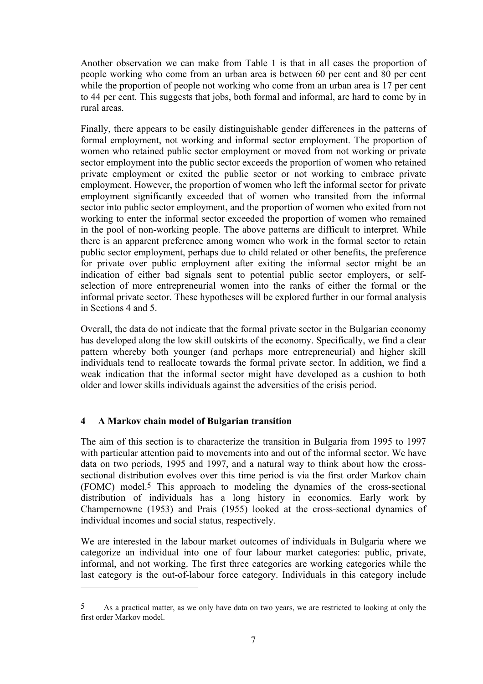Another observation we can make from Table 1 is that in all cases the proportion of people working who come from an urban area is between 60 per cent and 80 per cent while the proportion of people not working who come from an urban area is 17 per cent to 44 per cent. This suggests that jobs, both formal and informal, are hard to come by in rural areas.

Finally, there appears to be easily distinguishable gender differences in the patterns of formal employment, not working and informal sector employment. The proportion of women who retained public sector employment or moved from not working or private sector employment into the public sector exceeds the proportion of women who retained private employment or exited the public sector or not working to embrace private employment. However, the proportion of women who left the informal sector for private employment significantly exceeded that of women who transited from the informal sector into public sector employment, and the proportion of women who exited from not working to enter the informal sector exceeded the proportion of women who remained in the pool of non-working people. The above patterns are difficult to interpret. While there is an apparent preference among women who work in the formal sector to retain public sector employment, perhaps due to child related or other benefits, the preference for private over public employment after exiting the informal sector might be an indication of either bad signals sent to potential public sector employers, or selfselection of more entrepreneurial women into the ranks of either the formal or the informal private sector. These hypotheses will be explored further in our formal analysis in Sections 4 and 5.

Overall, the data do not indicate that the formal private sector in the Bulgarian economy has developed along the low skill outskirts of the economy. Specifically, we find a clear pattern whereby both younger (and perhaps more entrepreneurial) and higher skill individuals tend to reallocate towards the formal private sector. In addition, we find a weak indication that the informal sector might have developed as a cushion to both older and lower skills individuals against the adversities of the crisis period.

## **4 A Markov chain model of Bulgarian transition**

 $\overline{a}$ 

The aim of this section is to characterize the transition in Bulgaria from 1995 to 1997 with particular attention paid to movements into and out of the informal sector. We have data on two periods, 1995 and 1997, and a natural way to think about how the crosssectional distribution evolves over this time period is via the first order Markov chain (FOMC) model[.5](#page-8-0) This approach to modeling the dynamics of the cross-sectional distribution of individuals has a long history in economics. Early work by Champernowne (1953) and Prais (1955) looked at the cross-sectional dynamics of individual incomes and social status, respectively.

We are interested in the labour market outcomes of individuals in Bulgaria where we categorize an individual into one of four labour market categories: public, private, informal, and not working. The first three categories are working categories while the last category is the out-of-labour force category. Individuals in this category include

<span id="page-8-0"></span><sup>5</sup> As a practical matter, as we only have data on two years, we are restricted to looking at only the first order Markov model.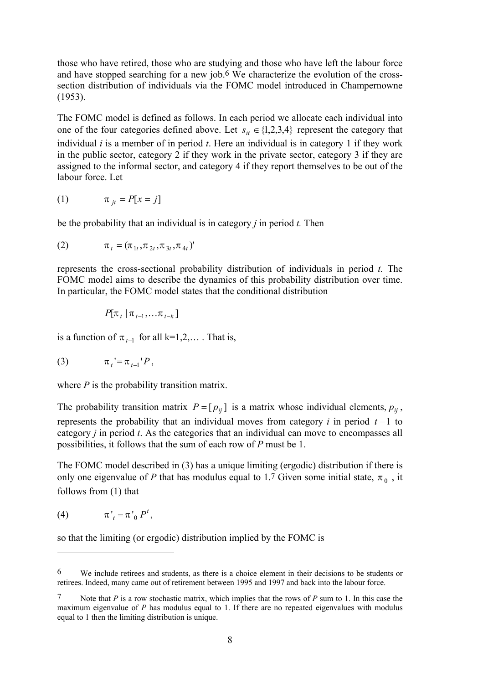those who have retired, those who are studying and those who have left the labour force and have stopped searching for a new job[.6](#page-9-0) We characterize the evolution of the crosssection distribution of individuals via the FOMC model introduced in Champernowne (1953).

The FOMC model is defined as follows. In each period we allocate each individual into one of the four categories defined above. Let  $s_{it} \in \{1,2,3,4\}$  represent the category that individual *i* is a member of in period *t*. Here an individual is in category 1 if they work in the public sector, category 2 if they work in the private sector, category 3 if they are assigned to the informal sector, and category 4 if they report themselves to be out of the labour force. Let

$$
(1) \qquad \qquad \pi_{jt} = P[x = j]
$$

be the probability that an individual is in category *j* in period *t.* Then

(2) 
$$
\pi_t = (\pi_{1t}, \pi_{2t}, \pi_{3t}, \pi_{4t})'
$$

represents the cross-sectional probability distribution of individuals in period *t.* The FOMC model aims to describe the dynamics of this probability distribution over time. In particular, the FOMC model states that the conditional distribution

$$
P[\pi_t | \pi_{t-1}, \ldots \pi_{t-k}]
$$

is a function of  $\pi_{t-1}$  for all k=1,2,… . That is,

(3) 
$$
\pi_t' = \pi_{t-1}' P,
$$

where *P* is the probability transition matrix.

The probability transition matrix  $P = [p_{ij}]$  is a matrix whose individual elements,  $p_{ij}$ , represents the probability that an individual moves from category  $i$  in period  $t-1$  to category *j* in period *t*. As the categories that an individual can move to encompasses all possibilities, it follows that the sum of each row of *P* must be 1.

The FOMC model described in (3) has a unique limiting (ergodic) distribution if there is only one eigenvalue of *P* that has modulus equal to 1[.7](#page-9-1) Given some initial state,  $\pi_0$ , it follows from (1) that

$$
(4) \qquad \qquad \pi'_{t} = \pi'_{0} P^{t},
$$

 $\overline{a}$ 

so that the limiting (or ergodic) distribution implied by the FOMC is

<span id="page-9-0"></span><sup>6</sup> We include retirees and students, as there is a choice element in their decisions to be students or retirees. Indeed, many came out of retirement between 1995 and 1997 and back into the labour force.

<span id="page-9-1"></span>Note that  $P$  is a row stochastic matrix, which implies that the rows of  $P$  sum to 1. In this case the maximum eigenvalue of *P* has modulus equal to 1. If there are no repeated eigenvalues with modulus equal to 1 then the limiting distribution is unique.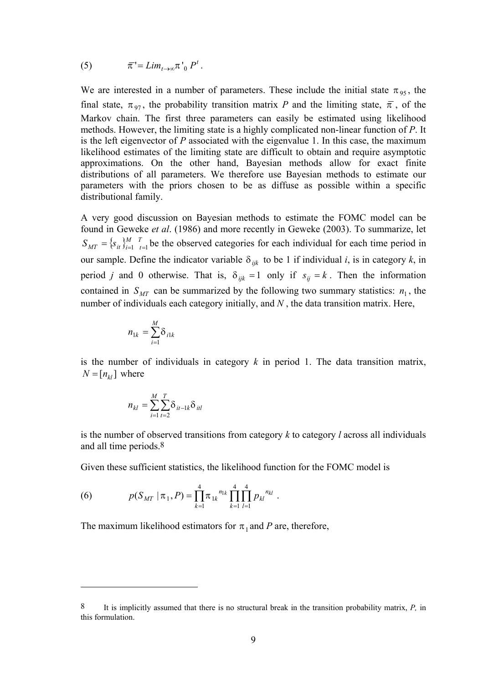(5) 
$$
\overline{\pi} = Lim_{t\to\infty}\pi^{\dagger}{}_0P^t.
$$

We are interested in a number of parameters. These include the initial state  $\pi_{95}$ , the final state,  $\pi_{97}$ , the probability transition matrix *P* and the limiting state,  $\bar{\pi}$ , of the Markov chain. The first three parameters can easily be estimated using likelihood methods. However, the limiting state is a highly complicated non-linear function of *P*. It is the left eigenvector of *P* associated with the eigenvalue 1. In this case, the maximum likelihood estimates of the limiting state are difficult to obtain and require asymptotic approximations. On the other hand, Bayesian methods allow for exact finite distributions of all parameters. We therefore use Bayesian methods to estimate our parameters with the priors chosen to be as diffuse as possible within a specific distributional family.

A very good discussion on Bayesian methods to estimate the FOMC model can be found in Geweke *et al*. (1986) and more recently in Geweke (2003). To summarize, let  $S_{MT} = \{s_i\}_{i=1}^M$  *T*<sub>*t*</sub>  $\neq$  *I*<sub>*t*</sub> the observed categories for each individual for each time period in our sample. Define the indicator variable  $\delta_{ijk}$  to be 1 if individual *i*, is in category *k*, in period *j* and 0 otherwise. That is,  $\delta_{ijk} = 1$  only if  $s_{ij} = k$ . Then the information contained in  $S_{MT}$  can be summarized by the following two summary statistics:  $n_1$ , the number of individuals each category initially, and *N* , the data transition matrix. Here,

$$
n_{1k} = \sum_{i=1}^{M} \delta_{i1k}
$$

is the number of individuals in category *k* in period 1. The data transition matrix,  $N = [n_{kl}]$  where

$$
n_{kl} = \sum_{i=1}^{M} \sum_{t=2}^{T} \delta_{it-1k} \delta_{itl}
$$

is the number of observed transitions from category *k* to category *l* across all individuals and all time periods[.8](#page-10-0) 

Given these sufficient statistics, the likelihood function for the FOMC model is

(6) 
$$
p(S_{MT} | \pi_1, P) = \prod_{k=1}^{4} \pi_{1k}^{n_{1k}} \prod_{k=1}^{4} \prod_{l=1}^{4} p_{kl}^{n_{kl}}.
$$

 $\overline{a}$ 

The maximum likelihood estimators for  $\pi_1$  and *P* are, therefore,

<span id="page-10-0"></span><sup>8</sup> It is implicitly assumed that there is no structural break in the transition probability matrix, *P,* in this formulation.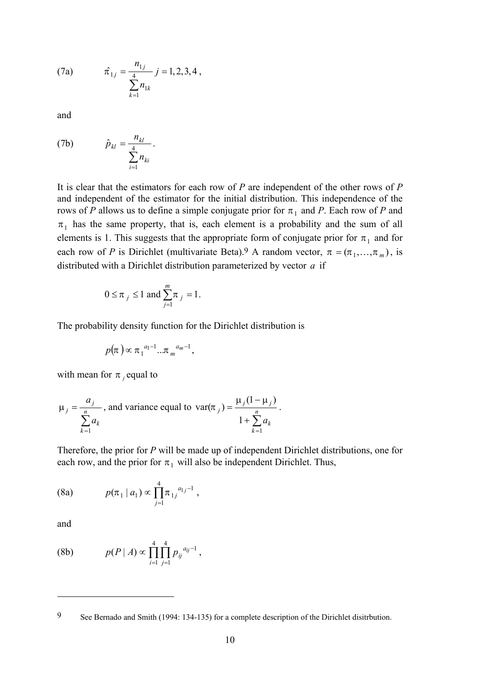(7a) 
$$
\hat{\pi}_{1j} = \frac{n_{1j}}{\sum_{k=1}^{4} n_{1k}} j = 1, 2, 3, 4,
$$

and

(7b) 
$$
\hat{p}_{kl} = \frac{n_{kl}}{\sum_{i=1}^{4} n_{ki}}.
$$

It is clear that the estimators for each row of *P* are independent of the other rows of *P*  and independent of the estimator for the initial distribution. This independence of the rows of *P* allows us to define a simple conjugate prior for  $\pi_1$  and *P*. Each row of *P* and  $\pi_1$  has the same property, that is, each element is a probability and the sum of all elements is 1. This suggests that the appropriate form of conjugate prior for  $\pi_1$  and for each row of *P* is Dirichlet (multivariate Beta).<sup>9</sup> A random vector,  $\pi = (\pi_1, ..., \pi_m)$ , is distributed with a Dirichlet distribution parameterized by vector  $a$  if

$$
0 \le \pi_j \le 1
$$
 and  $\sum_{j=1}^m \pi_j = 1$ .

The probability density function for the Dirichlet distribution is

$$
p(\pi) \propto \pi_1^{a_1-1} \dots \pi_m^{a_m-1},
$$

with mean for  $\pi$  *j* equal to

$$
\mu_j = \frac{a_j}{\sum_{k=1}^n a_k}
$$
, and variance equal to  $\text{var}(\pi_j) = \frac{\mu_j (1 - \mu_j)}{1 + \sum_{k=1}^n a_k}$ .

Therefore, the prior for *P* will be made up of independent Dirichlet distributions, one for each row, and the prior for  $\pi_1$  will also be independent Dirichlet. Thus,

(8a) 
$$
p(\pi_1 | a_1) \propto \prod_{j=1}^4 \pi_{1j}^{a_{1j}-1},
$$

and

 $\overline{a}$ 

(8b) 
$$
p(P | A) \propto \prod_{i=1}^{4} \prod_{j=1}^{4} p_{ij}^{a_{ij}-1},
$$

<span id="page-11-0"></span>9 See Bernado and Smith (1994: 134-135) for a complete description of the Dirichlet disitrbution.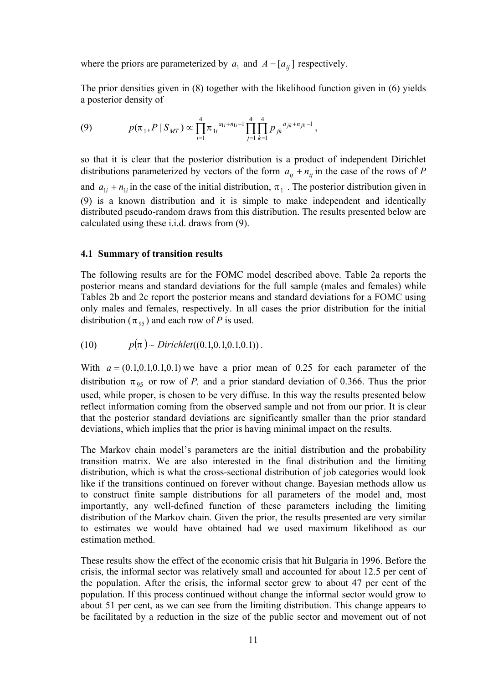where the priors are parameterized by  $a_1$  and  $A = [a_{ij}]$  respectively.

The prior densities given in (8) together with the likelihood function given in (6) yields a posterior density of

(9) 
$$
p(\pi_1, P \mid S_{MT}) \propto \prod_{i=1}^4 \pi_{1i}^{a_{1i} + n_{1i} - 1} \prod_{j=1}^4 \prod_{k=1}^4 p_{jk}^{a_{jk} + n_{jk} - 1},
$$

so that it is clear that the posterior distribution is a product of independent Dirichlet distributions parameterized by vectors of the form  $a_{ij} + n_{ij}$  in the case of the rows of *P* and  $a_{1i} + n_{1i}$  in the case of the initial distribution,  $\pi_1$ . The posterior distribution given in (9) is a known distribution and it is simple to make independent and identically distributed pseudo-random draws from this distribution. The results presented below are calculated using these i.i.d. draws from (9).

#### **4.1 Summary of transition results**

The following results are for the FOMC model described above. Table 2a reports the posterior means and standard deviations for the full sample (males and females) while Tables 2b and 2c report the posterior means and standard deviations for a FOMC using only males and females, respectively. In all cases the prior distribution for the initial distribution ( $\pi_{95}$ ) and each row of *P* is used.

(10) 
$$
p(\pi) \sim Dirichlet((0.1, 0.1, 0.1, 0.1)).
$$

With  $a = (0.1, 0.1, 0.1, 0.1)$  we have a prior mean of 0.25 for each parameter of the distribution  $\pi_{95}$  or row of *P*, and a prior standard deviation of 0.366. Thus the prior used, while proper, is chosen to be very diffuse. In this way the results presented below reflect information coming from the observed sample and not from our prior. It is clear that the posterior standard deviations are significantly smaller than the prior standard deviations, which implies that the prior is having minimal impact on the results.

The Markov chain model's parameters are the initial distribution and the probability transition matrix. We are also interested in the final distribution and the limiting distribution, which is what the cross-sectional distribution of job categories would look like if the transitions continued on forever without change. Bayesian methods allow us to construct finite sample distributions for all parameters of the model and, most importantly, any well-defined function of these parameters including the limiting distribution of the Markov chain. Given the prior, the results presented are very similar to estimates we would have obtained had we used maximum likelihood as our estimation method.

These results show the effect of the economic crisis that hit Bulgaria in 1996. Before the crisis, the informal sector was relatively small and accounted for about 12.5 per cent of the population. After the crisis, the informal sector grew to about 47 per cent of the population. If this process continued without change the informal sector would grow to about 51 per cent, as we can see from the limiting distribution. This change appears to be facilitated by a reduction in the size of the public sector and movement out of not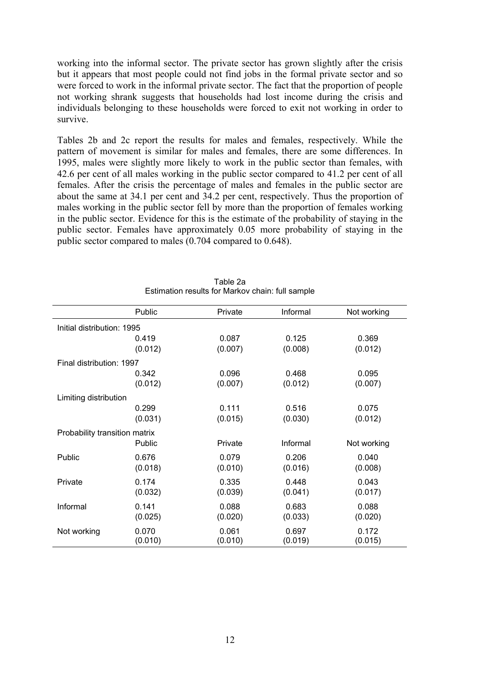working into the informal sector. The private sector has grown slightly after the crisis but it appears that most people could not find jobs in the formal private sector and so were forced to work in the informal private sector. The fact that the proportion of people not working shrank suggests that households had lost income during the crisis and individuals belonging to these households were forced to exit not working in order to survive.

Tables 2b and 2c report the results for males and females, respectively. While the pattern of movement is similar for males and females, there are some differences. In 1995, males were slightly more likely to work in the public sector than females, with 42.6 per cent of all males working in the public sector compared to 41.2 per cent of all females. After the crisis the percentage of males and females in the public sector are about the same at 34.1 per cent and 34.2 per cent, respectively. Thus the proportion of males working in the public sector fell by more than the proportion of females working in the public sector. Evidence for this is the estimate of the probability of staying in the public sector. Females have approximately 0.05 more probability of staying in the public sector compared to males (0.704 compared to 0.648).

|                               | Public  | Private | Informal | Not working |  |  |
|-------------------------------|---------|---------|----------|-------------|--|--|
| Initial distribution: 1995    |         |         |          |             |  |  |
|                               | 0.419   | 0.087   | 0.125    | 0.369       |  |  |
|                               | (0.012) | (0.007) | (0.008)  | (0.012)     |  |  |
| Final distribution: 1997      |         |         |          |             |  |  |
|                               | 0.342   | 0.096   | 0.468    | 0.095       |  |  |
|                               | (0.012) | (0.007) | (0.012)  | (0.007)     |  |  |
| Limiting distribution         |         |         |          |             |  |  |
|                               | 0.299   | 0.111   | 0.516    | 0.075       |  |  |
|                               | (0.031) | (0.015) | (0.030)  | (0.012)     |  |  |
| Probability transition matrix |         |         |          |             |  |  |
|                               | Public  | Private | Informal | Not working |  |  |
| Public                        | 0.676   | 0.079   | 0.206    | 0.040       |  |  |
|                               | (0.018) | (0.010) | (0.016)  | (0.008)     |  |  |
| Private                       | 0.174   | 0.335   | 0.448    | 0.043       |  |  |
|                               | (0.032) | (0.039) | (0.041)  | (0.017)     |  |  |
| Informal                      | 0.141   | 0.088   | 0.683    | 0.088       |  |  |
|                               | (0.025) | (0.020) | (0.033)  | (0.020)     |  |  |
| Not working                   | 0.070   | 0.061   | 0.697    | 0.172       |  |  |
|                               | (0.010) | (0.010) | (0.019)  | (0.015)     |  |  |

| Table 2a                                         |  |
|--------------------------------------------------|--|
| Estimation results for Markov chain: full sample |  |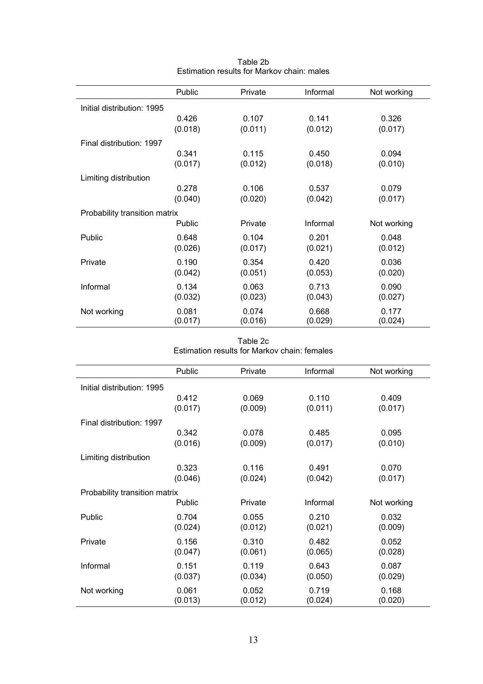|                               | Public  | Private | Informal | Not working |
|-------------------------------|---------|---------|----------|-------------|
| Initial distribution: 1995    |         |         |          |             |
|                               | 0.426   | 0.107   | 0.141    | 0.326       |
|                               | (0.018) | (0.011) | (0.012)  | (0.017)     |
| Final distribution: 1997      |         |         |          |             |
|                               | 0.341   | 0.115   | 0.450    | 0.094       |
|                               | (0.017) | (0.012) | (0.018)  | (0.010)     |
| Limiting distribution         |         |         |          |             |
|                               | 0.278   | 0.106   | 0.537    | 0.079       |
|                               | (0.040) | (0.020) | (0.042)  | (0.017)     |
| Probability transition matrix |         |         |          |             |
|                               | Public  | Private | Informal | Not working |
| Public                        | 0.648   | 0.104   | 0.201    | 0.048       |
|                               | (0.026) | (0.017) | (0.021)  | (0.012)     |
| Private                       | 0.190   | 0.354   | 0.420    | 0.036       |
|                               | (0.042) | (0.051) | (0.053)  | (0.020)     |
| Informal                      | 0.134   | 0.063   | 0.713    | 0.090       |
|                               | (0.032) | (0.023) | (0.043)  | (0.027)     |
| Not working                   | 0.081   | 0.074   | 0.668    | 0.177       |
|                               | (0.017) | (0.016) | (0.029)  | (0.024)     |

Table 2b Estimation results for Markov chain: males

Table 2c Estimation results for Markov chain: females

|                               | Public  | Private | Informal | Not working |  |  |
|-------------------------------|---------|---------|----------|-------------|--|--|
| Initial distribution: 1995    |         |         |          |             |  |  |
|                               | 0.412   | 0.069   | 0.110    | 0.409       |  |  |
|                               | (0.017) | (0.009) | (0.011)  | (0.017)     |  |  |
| Final distribution: 1997      |         |         |          |             |  |  |
|                               | 0.342   | 0.078   | 0.485    | 0.095       |  |  |
|                               | (0.016) | (0.009) | (0.017)  | (0.010)     |  |  |
| Limiting distribution         |         |         |          |             |  |  |
|                               | 0.323   | 0.116   | 0.491    | 0.070       |  |  |
|                               | (0.046) | (0.024) | (0.042)  | (0.017)     |  |  |
| Probability transition matrix |         |         |          |             |  |  |
|                               | Public  | Private | Informal | Not working |  |  |
| Public                        | 0.704   | 0.055   | 0.210    | 0.032       |  |  |
|                               | (0.024) | (0.012) | (0.021)  | (0.009)     |  |  |
| Private                       | 0.156   | 0.310   | 0.482    | 0.052       |  |  |
|                               | (0.047) | (0.061) | (0.065)  | (0.028)     |  |  |
| Informal                      | 0.151   | 0.119   | 0.643    | 0.087       |  |  |
|                               | (0.037) | (0.034) | (0.050)  | (0.029)     |  |  |
| Not working                   | 0.061   | 0.052   | 0.719    | 0.168       |  |  |
|                               | (0.013) | (0.012) | (0.024)  | (0.020)     |  |  |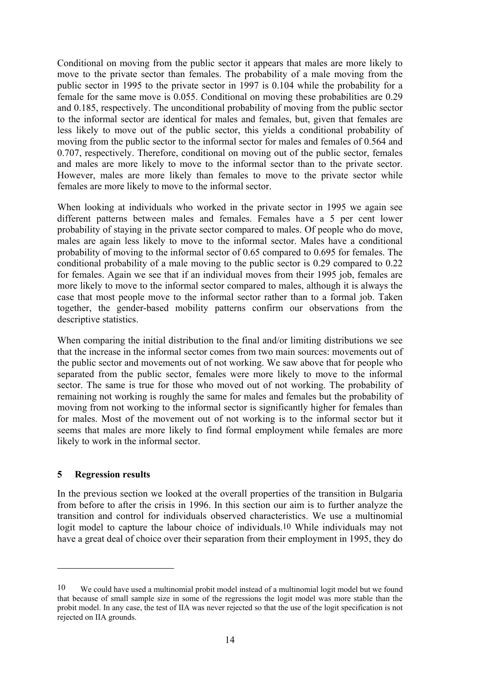Conditional on moving from the public sector it appears that males are more likely to move to the private sector than females. The probability of a male moving from the public sector in 1995 to the private sector in 1997 is 0.104 while the probability for a female for the same move is 0.055. Conditional on moving these probabilities are 0.29 and 0.185, respectively. The unconditional probability of moving from the public sector to the informal sector are identical for males and females, but, given that females are less likely to move out of the public sector, this yields a conditional probability of moving from the public sector to the informal sector for males and females of 0.564 and 0.707, respectively. Therefore, conditional on moving out of the public sector, females and males are more likely to move to the informal sector than to the private sector. However, males are more likely than females to move to the private sector while females are more likely to move to the informal sector.

When looking at individuals who worked in the private sector in 1995 we again see different patterns between males and females. Females have a 5 per cent lower probability of staying in the private sector compared to males. Of people who do move, males are again less likely to move to the informal sector. Males have a conditional probability of moving to the informal sector of 0.65 compared to 0.695 for females. The conditional probability of a male moving to the public sector is 0.29 compared to 0.22 for females. Again we see that if an individual moves from their 1995 job, females are more likely to move to the informal sector compared to males, although it is always the case that most people move to the informal sector rather than to a formal job. Taken together, the gender-based mobility patterns confirm our observations from the descriptive statistics.

When comparing the initial distribution to the final and/or limiting distributions we see that the increase in the informal sector comes from two main sources: movements out of the public sector and movements out of not working. We saw above that for people who separated from the public sector, females were more likely to move to the informal sector. The same is true for those who moved out of not working. The probability of remaining not working is roughly the same for males and females but the probability of moving from not working to the informal sector is significantly higher for females than for males. Most of the movement out of not working is to the informal sector but it seems that males are more likely to find formal employment while females are more likely to work in the informal sector.

#### **5 Regression results**

 $\overline{a}$ 

In the previous section we looked at the overall properties of the transition in Bulgaria from before to after the crisis in 1996. In this section our aim is to further analyze the transition and control for individuals observed characteristics. We use a multinomial logit model to capture the labour choice of individuals[.10](#page-15-0) While individuals may not have a great deal of choice over their separation from their employment in 1995, they do

<span id="page-15-0"></span><sup>10</sup> We could have used a multinomial probit model instead of a multinomial logit model but we found that because of small sample size in some of the regressions the logit model was more stable than the probit model. In any case, the test of IIA was never rejected so that the use of the logit specification is not rejected on IIA grounds.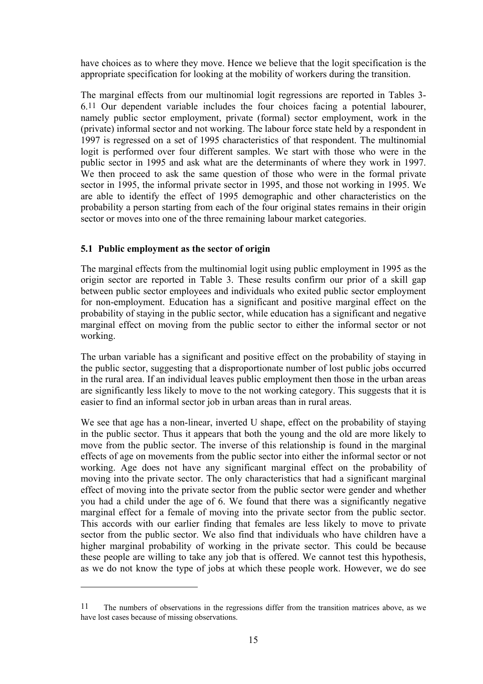have choices as to where they move. Hence we believe that the logit specification is the appropriate specification for looking at the mobility of workers during the transition.

The marginal effects from our multinomial logit regressions are reported in Tables 3- 6[.11](#page-16-0) Our dependent variable includes the four choices facing a potential labourer, namely public sector employment, private (formal) sector employment, work in the (private) informal sector and not working. The labour force state held by a respondent in 1997 is regressed on a set of 1995 characteristics of that respondent. The multinomial logit is performed over four different samples. We start with those who were in the public sector in 1995 and ask what are the determinants of where they work in 1997. We then proceed to ask the same question of those who were in the formal private sector in 1995, the informal private sector in 1995, and those not working in 1995. We are able to identify the effect of 1995 demographic and other characteristics on the probability a person starting from each of the four original states remains in their origin sector or moves into one of the three remaining labour market categories.

## **5.1 Public employment as the sector of origin**

 $\overline{a}$ 

The marginal effects from the multinomial logit using public employment in 1995 as the origin sector are reported in Table 3. These results confirm our prior of a skill gap between public sector employees and individuals who exited public sector employment for non-employment. Education has a significant and positive marginal effect on the probability of staying in the public sector, while education has a significant and negative marginal effect on moving from the public sector to either the informal sector or not working.

The urban variable has a significant and positive effect on the probability of staying in the public sector, suggesting that a disproportionate number of lost public jobs occurred in the rural area. If an individual leaves public employment then those in the urban areas are significantly less likely to move to the not working category. This suggests that it is easier to find an informal sector job in urban areas than in rural areas.

We see that age has a non-linear, inverted U shape, effect on the probability of staying in the public sector. Thus it appears that both the young and the old are more likely to move from the public sector. The inverse of this relationship is found in the marginal effects of age on movements from the public sector into either the informal sector or not working. Age does not have any significant marginal effect on the probability of moving into the private sector. The only characteristics that had a significant marginal effect of moving into the private sector from the public sector were gender and whether you had a child under the age of 6. We found that there was a significantly negative marginal effect for a female of moving into the private sector from the public sector. This accords with our earlier finding that females are less likely to move to private sector from the public sector. We also find that individuals who have children have a higher marginal probability of working in the private sector. This could be because these people are willing to take any job that is offered. We cannot test this hypothesis, as we do not know the type of jobs at which these people work. However, we do see

<span id="page-16-0"></span><sup>11</sup> The numbers of observations in the regressions differ from the transition matrices above, as we have lost cases because of missing observations.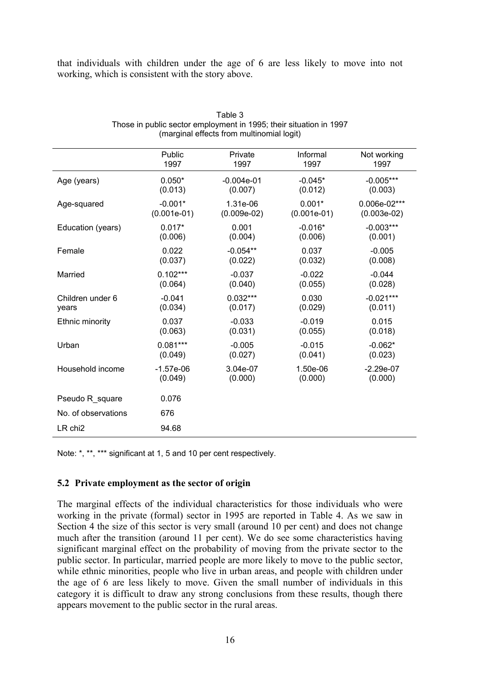that individuals with children under the age of 6 are less likely to move into not working, which is consistent with the story above.

|                     | Public        | Private       | Informal      | Not working   |
|---------------------|---------------|---------------|---------------|---------------|
|                     | 1997          | 1997          | 1997          | 1997          |
| Age (years)         | $0.050*$      | $-0.004e-01$  | $-0.045*$     | $-0.005***$   |
|                     | (0.013)       | (0.007)       | (0.012)       | (0.003)       |
| Age-squared         | $-0.001*$     | 1.31e-06      | $0.001*$      | 0.006e-02***  |
|                     | $(0.001e-01)$ | $(0.009e-02)$ | $(0.001e-01)$ | $(0.003e-02)$ |
| Education (years)   | $0.017*$      | 0.001         | $-0.016*$     | $-0.003***$   |
|                     | (0.006)       | (0.004)       | (0.006)       | (0.001)       |
| Female              | 0.022         | $-0.054**$    | 0.037         | $-0.005$      |
|                     | (0.037)       | (0.022)       | (0.032)       | (0.008)       |
| Married             | $0.102***$    | $-0.037$      | $-0.022$      | $-0.044$      |
|                     | (0.064)       | (0.040)       | (0.055)       | (0.028)       |
| Children under 6    | $-0.041$      | $0.032***$    | 0.030         | $-0.021***$   |
| years               | (0.034)       | (0.017)       | (0.029)       | (0.011)       |
| Ethnic minority     | 0.037         | $-0.033$      | $-0.019$      | 0.015         |
|                     | (0.063)       | (0.031)       | (0.055)       | (0.018)       |
| Urban               | $0.081***$    | $-0.005$      | $-0.015$      | $-0.062*$     |
|                     | (0.049)       | (0.027)       | (0.041)       | (0.023)       |
| Household income    | $-1.57e-06$   | 3.04e-07      | 1.50e-06      | $-2.29e-07$   |
|                     | (0.049)       | (0.000)       | (0.000)       | (0.000)       |
| Pseudo R square     | 0.076         |               |               |               |
| No. of observations | 676           |               |               |               |
| $LR$ chi $2$        | 94.68         |               |               |               |

| Table 3                                                            |
|--------------------------------------------------------------------|
| Those in public sector employment in 1995; their situation in 1997 |
| (marginal effects from multinomial logit)                          |

Note: \*, \*\*, \*\*\* significant at 1, 5 and 10 per cent respectively.

#### **5.2 Private employment as the sector of origin**

The marginal effects of the individual characteristics for those individuals who were working in the private (formal) sector in 1995 are reported in Table 4. As we saw in Section 4 the size of this sector is very small (around 10 per cent) and does not change much after the transition (around 11 per cent). We do see some characteristics having significant marginal effect on the probability of moving from the private sector to the public sector. In particular, married people are more likely to move to the public sector, while ethnic minorities, people who live in urban areas, and people with children under the age of 6 are less likely to move. Given the small number of individuals in this category it is difficult to draw any strong conclusions from these results, though there appears movement to the public sector in the rural areas.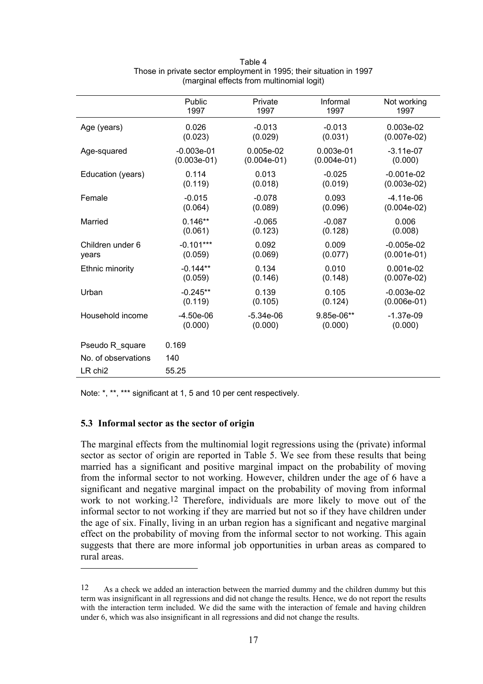|                     | Public        | Private       | Informal      | Not working   |
|---------------------|---------------|---------------|---------------|---------------|
|                     | 1997          | 1997          | 1997          | 1997          |
| Age (years)         | 0.026         | $-0.013$      | $-0.013$      | $0.003e-02$   |
|                     | (0.023)       | (0.029)       | (0.031)       | $(0.007e-02)$ |
| Age-squared         | $-0.003e-01$  | $0.005e-02$   | $0.003e-01$   | $-3.11e-07$   |
|                     | $(0.003e-01)$ | $(0.004e-01)$ | $(0.004e-01)$ | (0.000)       |
| Education (years)   | 0.114         | 0.013         | $-0.025$      | $-0.001e-02$  |
|                     | (0.119)       | (0.018)       | (0.019)       | $(0.003e-02)$ |
| Female              | $-0.015$      | $-0.078$      | 0.093         | $-4.11e-06$   |
|                     | (0.064)       | (0.089)       | (0.096)       | $(0.004e-02)$ |
| Married             | $0.146**$     | $-0.065$      | $-0.087$      | 0.006         |
|                     | (0.061)       | (0.123)       | (0.128)       | (0.008)       |
| Children under 6    | $-0.101***$   | 0.092         | 0.009         | $-0.005e-02$  |
| years               | (0.059)       | (0.069)       | (0.077)       | $(0.001e-01)$ |
| Ethnic minority     | $-0.144**$    | 0.134         | 0.010         | $0.001e-02$   |
|                     | (0.059)       | (0.146)       | (0.148)       | $(0.007e-02)$ |
| Urban               | $-0.245**$    | 0.139         | 0.105         | $-0.003e-02$  |
|                     | (0.119)       | (0.105)       | (0.124)       | $(0.006e-01)$ |
| Household income    | $-4.50e-06$   | $-5.34e-06$   | $9.85e-06**$  | $-1.37e-09$   |
|                     | (0.000)       | (0.000)       | (0.000)       | (0.000)       |
| Pseudo R square     | 0.169         |               |               |               |
| No. of observations | 140           |               |               |               |
| LR chi <sub>2</sub> | 55.25         |               |               |               |

| Table 4                                                             |
|---------------------------------------------------------------------|
| Those in private sector employment in 1995; their situation in 1997 |
| (marginal effects from multinomial logit)                           |

Note: \*, \*\*, \*\*\* significant at 1, 5 and 10 per cent respectively.

#### **5.3 Informal sector as the sector of origin**

 $\overline{a}$ 

The marginal effects from the multinomial logit regressions using the (private) informal sector as sector of origin are reported in Table 5. We see from these results that being married has a significant and positive marginal impact on the probability of moving from the informal sector to not working. However, children under the age of 6 have a significant and negative marginal impact on the probability of moving from informal work to not working[.12](#page-18-0) Therefore, individuals are more likely to move out of the informal sector to not working if they are married but not so if they have children under the age of six. Finally, living in an urban region has a significant and negative marginal effect on the probability of moving from the informal sector to not working. This again suggests that there are more informal job opportunities in urban areas as compared to rural areas.

<span id="page-18-0"></span><sup>12</sup> As a check we added an interaction between the married dummy and the children dummy but this term was insignificant in all regressions and did not change the results. Hence, we do not report the results with the interaction term included. We did the same with the interaction of female and having children under 6, which was also insignificant in all regressions and did not change the results.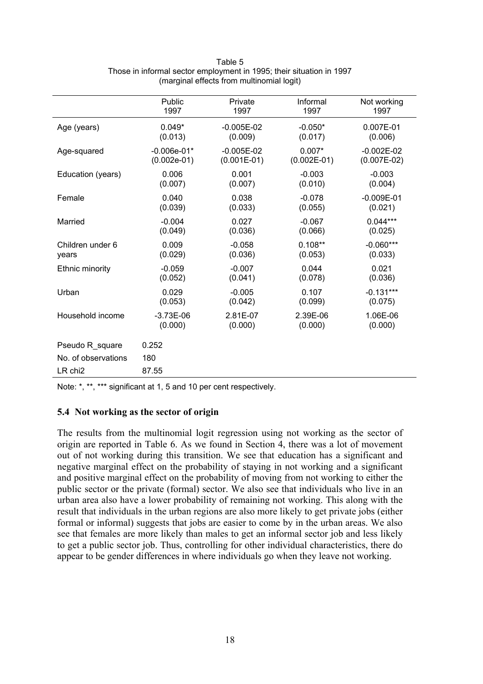|                     | Public        | Private       | Informal      | Not working    |
|---------------------|---------------|---------------|---------------|----------------|
|                     | 1997          | 1997          | 1997          | 1997           |
| Age (years)         | $0.049*$      | $-0.005E-02$  | $-0.050*$     | 0.007E-01      |
|                     | (0.013)       | (0.009)       | (0.017)       | (0.006)        |
| Age-squared         | $-0.006e-01*$ | $-0.005E-02$  | $0.007*$      | $-0.002E-02$   |
|                     | $(0.002e-01)$ | $(0.001E-01)$ | $(0.002E-01)$ | $(0.007E-02)$  |
| Education (years)   | 0.006         | 0.001         | $-0.003$      | $-0.003$       |
|                     | (0.007)       | (0.007)       | (0.010)       | (0.004)        |
| Female              | 0.040         | 0.038         | $-0.078$      | $-0.009E - 01$ |
|                     | (0.039)       | (0.033)       | (0.055)       | (0.021)        |
| Married             | $-0.004$      | 0.027         | $-0.067$      | $0.044***$     |
|                     | (0.049)       | (0.036)       | (0.066)       | (0.025)        |
| Children under 6    | 0.009         | $-0.058$      | $0.108**$     | $-0.060***$    |
| years               | (0.029)       | (0.036)       | (0.053)       | (0.033)        |
| Ethnic minority     | $-0.059$      | $-0.007$      | 0.044         | 0.021          |
|                     | (0.052)       | (0.041)       | (0.078)       | (0.036)        |
| Urban               | 0.029         | $-0.005$      | 0.107         | $-0.131***$    |
|                     | (0.053)       | (0.042)       | (0.099)       | (0.075)        |
| Household income    | $-3.73E-06$   | 2.81E-07      | 2.39E-06      | 1.06E-06       |
|                     | (0.000)       | (0.000)       | (0.000)       | (0.000)        |
| Pseudo R_square     | 0.252         |               |               |                |
| No. of observations | 180           |               |               |                |
| LR chi <sub>2</sub> | 87.55         |               |               |                |

#### Table 5 Those in informal sector employment in 1995; their situation in 1997 (marginal effects from multinomial logit)

Note: \*, \*\*, \*\*\* significant at 1, 5 and 10 per cent respectively.

## **5.4 Not working as the sector of origin**

The results from the multinomial logit regression using not working as the sector of origin are reported in Table 6. As we found in Section 4, there was a lot of movement out of not working during this transition. We see that education has a significant and negative marginal effect on the probability of staying in not working and a significant and positive marginal effect on the probability of moving from not working to either the public sector or the private (formal) sector. We also see that individuals who live in an urban area also have a lower probability of remaining not working. This along with the result that individuals in the urban regions are also more likely to get private jobs (either formal or informal) suggests that jobs are easier to come by in the urban areas. We also see that females are more likely than males to get an informal sector job and less likely to get a public sector job. Thus, controlling for other individual characteristics, there do appear to be gender differences in where individuals go when they leave not working.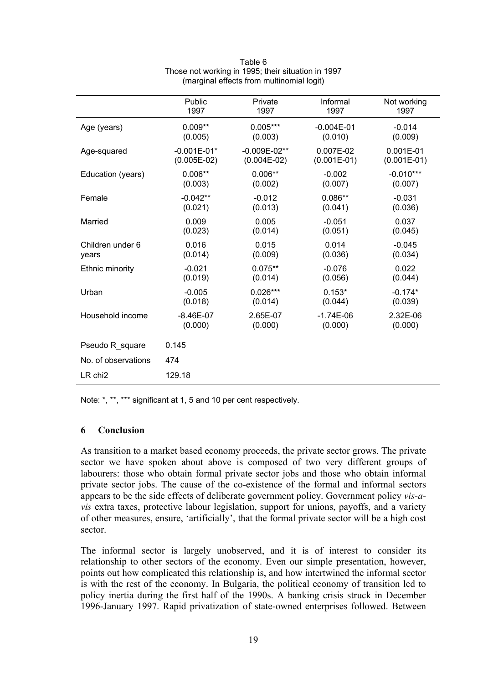|                     | Public          | Private          | Informal       | Not working   |
|---------------------|-----------------|------------------|----------------|---------------|
|                     | 1997            | 1997             | 1997           | 1997          |
| Age (years)         | $0.009**$       | $0.005***$       | $-0.004E - 01$ | $-0.014$      |
|                     | (0.005)         | (0.003)          | (0.010)        | (0.009)       |
| Age-squared         | $-0.001E - 01*$ | $-0.009E - 02**$ | 0.007E-02      | $0.001E - 01$ |
|                     | $(0.005E-02)$   | $(0.004E-02)$    | $(0.001E-01)$  | $(0.001E-01)$ |
| Education (years)   | $0.006**$       | $0.006**$        | $-0.002$       | $-0.010***$   |
|                     | (0.003)         | (0.002)          | (0.007)        | (0.007)       |
| Female              | $-0.042**$      | $-0.012$         | $0.086**$      | $-0.031$      |
|                     | (0.021)         | (0.013)          | (0.041)        | (0.036)       |
| Married             | 0.009           | 0.005            | $-0.051$       | 0.037         |
|                     | (0.023)         | (0.014)          | (0.051)        | (0.045)       |
| Children under 6    | 0.016           | 0.015            | 0.014          | $-0.045$      |
| years               | (0.014)         | (0.009)          | (0.036)        | (0.034)       |
| Ethnic minority     | $-0.021$        | $0.075**$        | $-0.076$       | 0.022         |
|                     | (0.019)         | (0.014)          | (0.056)        | (0.044)       |
| Urban               | $-0.005$        | $0.026***$       | $0.153*$       | $-0.174*$     |
|                     | (0.018)         | (0.014)          | (0.044)        | (0.039)       |
| Household income    | $-8.46E - 07$   | 2.65E-07         | $-1.74E-06$    | 2.32E-06      |
|                     | (0.000)         | (0.000)          | (0.000)        | (0.000)       |
| Pseudo R square     | 0.145           |                  |                |               |
| No. of observations | 474             |                  |                |               |
| LR chi <sub>2</sub> | 129.18          |                  |                |               |

#### Table 6 Those not working in 1995; their situation in 1997 (marginal effects from multinomial logit)

Note: \*, \*\*, \*\*\* significant at 1, 5 and 10 per cent respectively.

#### **6 Conclusion**

As transition to a market based economy proceeds, the private sector grows. The private sector we have spoken about above is composed of two very different groups of labourers: those who obtain formal private sector jobs and those who obtain informal private sector jobs. The cause of the co-existence of the formal and informal sectors appears to be the side effects of deliberate government policy. Government policy *vis-avis* extra taxes, protective labour legislation, support for unions, payoffs, and a variety of other measures, ensure, 'artificially', that the formal private sector will be a high cost sector.

The informal sector is largely unobserved, and it is of interest to consider its relationship to other sectors of the economy. Even our simple presentation, however, points out how complicated this relationship is, and how intertwined the informal sector is with the rest of the economy. In Bulgaria, the political economy of transition led to policy inertia during the first half of the 1990s. A banking crisis struck in December 1996-January 1997. Rapid privatization of state-owned enterprises followed. Between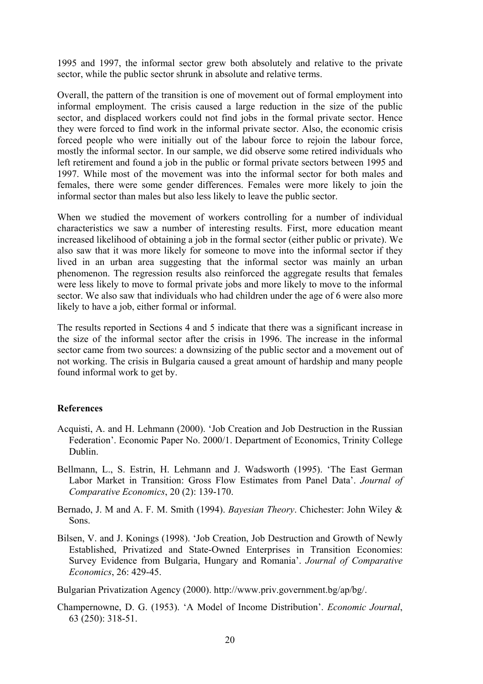1995 and 1997, the informal sector grew both absolutely and relative to the private sector, while the public sector shrunk in absolute and relative terms.

Overall, the pattern of the transition is one of movement out of formal employment into informal employment. The crisis caused a large reduction in the size of the public sector, and displaced workers could not find jobs in the formal private sector. Hence they were forced to find work in the informal private sector. Also, the economic crisis forced people who were initially out of the labour force to rejoin the labour force, mostly the informal sector. In our sample, we did observe some retired individuals who left retirement and found a job in the public or formal private sectors between 1995 and 1997. While most of the movement was into the informal sector for both males and females, there were some gender differences. Females were more likely to join the informal sector than males but also less likely to leave the public sector.

When we studied the movement of workers controlling for a number of individual characteristics we saw a number of interesting results. First, more education meant increased likelihood of obtaining a job in the formal sector (either public or private). We also saw that it was more likely for someone to move into the informal sector if they lived in an urban area suggesting that the informal sector was mainly an urban phenomenon. The regression results also reinforced the aggregate results that females were less likely to move to formal private jobs and more likely to move to the informal sector. We also saw that individuals who had children under the age of 6 were also more likely to have a job, either formal or informal.

The results reported in Sections 4 and 5 indicate that there was a significant increase in the size of the informal sector after the crisis in 1996. The increase in the informal sector came from two sources: a downsizing of the public sector and a movement out of not working. The crisis in Bulgaria caused a great amount of hardship and many people found informal work to get by.

#### **References**

- Acquisti, A. and H. Lehmann (2000). 'Job Creation and Job Destruction in the Russian Federation'. Economic Paper No. 2000/1. Department of Economics, Trinity College Dublin.
- Bellmann, L., S. Estrin, H. Lehmann and J. Wadsworth (1995). 'The East German Labor Market in Transition: Gross Flow Estimates from Panel Data'. *Journal of Comparative Economics*, 20 (2): 139-170.
- Bernado, J. M and A. F. M. Smith (1994). *Bayesian Theory*. Chichester: John Wiley & Sons.
- Bilsen, V. and J. Konings (1998). 'Job Creation, Job Destruction and Growth of Newly Established, Privatized and State-Owned Enterprises in Transition Economies: Survey Evidence from Bulgaria, Hungary and Romania'. *Journal of Comparative Economics*, 26: 429-45.

Bulgarian Privatization Agency (2000). http://www.priv.government.bg/ap/bg/.

Champernowne, D. G. (1953). 'A Model of Income Distribution'. *Economic Journal*, 63 (250): 318-51.